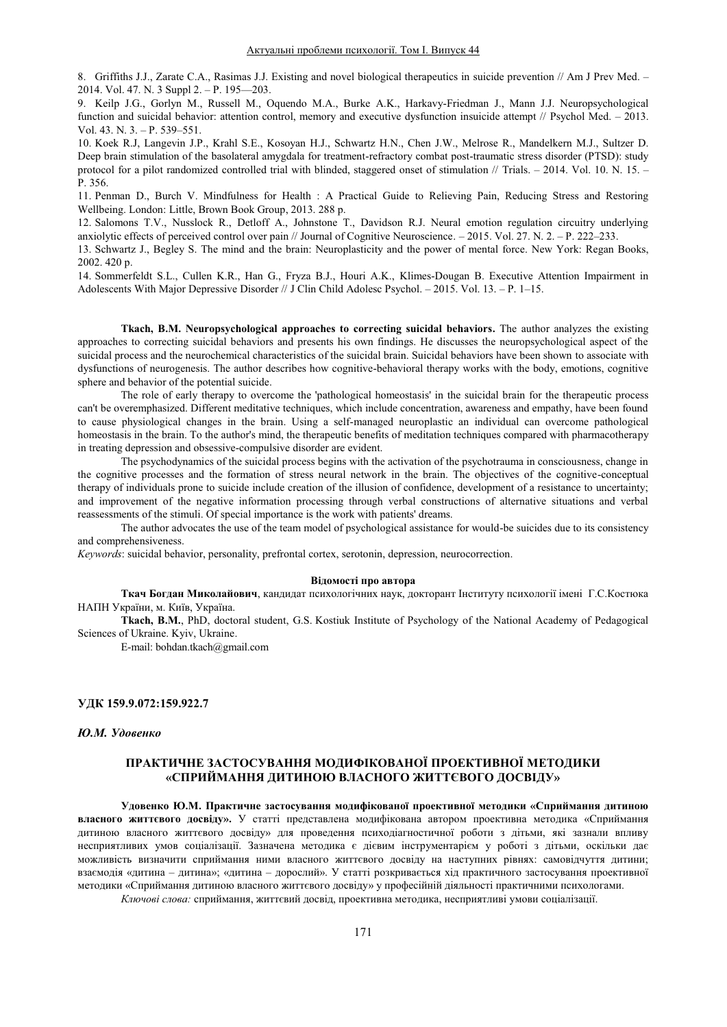8. Griffiths J.J., Zarate C.A., Rasimas J.J. Existing and novel biological therapeutics in suicide prevention // Am J Prev Med. -2014. Vol. 47. N. 3 Suppl  $2. - P.$  195 $-203$ .

9. Keilp J.G., Gorlyn M., Russell M., Oquendo M.A., Burke A.K., Harkavy-Friedman J., Mann J.J. Neuropsychological function and suicidal behavior: attention control, memory and executive dysfunction insuicide attempt // Psychol Med. - 2013. Vol. 43. N.  $3. - P. 539 - 551$ .

10. Koek R.J, Langevin J.P., Krahl S.E., Kosoyan H.J., Schwartz H.N., Chen J.W., Melrose R., Mandelkern M.J., Sultzer D. Deep brain stimulation of the basolateral amygdala for treatment-refractory combat post-traumatic stress disorder (PTSD): study protocol for a pilot randomized controlled trial with blinded, staggered onset of stimulation  $/$  Trials.  $-$  2014. Vol. 10. N. 15.  $-$ P. 356.

11. Penman D., Burch V. Mindfulness for Health : A Practical Guide to Relieving Pain, Reducing Stress and Restoring Wellbeing. London: Little, Brown Book Group, 2013. 288 p.

12. Salomons T.V., Nusslock R., Detloff A., Johnstone T., Davidson R.J. Neural emotion regulation circuitry underlying anxiolytic effects of perceived control over pain // Journal of Cognitive Neuroscience.  $-2015$ . Vol. 27. N. 2.  $-P$ . 222-233.

13. Schwartz J., Begley S. The mind and the brain: Neuroplasticity and the power of mental force. New York: Regan Books, 2002. 420 p.

14. Sommerfeldt S.L., Cullen K.R., Han G., Fryza B.J., Houri A.K., Klimes-Dougan B. Executive Attention Impairment in Adolescents With Major Depressive Disorder // J Clin Child Adolesc Psychol.  $-2015$ . Vol. 13. - P. 1-15.

**Tkach, B.M. Neuropsychological approaches to correcting suicidal behaviors.** The author analyzes the existing approaches to correcting suicidal behaviors and presents his own findings. He discusses the neuropsychological aspect of the suicidal process and the neurochemical characteristics of the suicidal brain. Suicidal behaviors have been shown to associate with dysfunctions of neurogenesis. The author describes how cognitive-behavioral therapy works with the body, emotions, cognitive sphere and behavior of the potential suicide.

The role of early therapy to overcome the 'pathological homeostasis' in the suicidal brain for the therapeutic process can't be overemphasized. Different meditative techniques, which include concentration, awareness and empathy, have been found to cause physiological changes in the brain. Using a self-managed neuroplastic an individual can overcome pathological homeostasis in the brain. To the author's mind, the therapeutic benefits of meditation techniques compared with pharmacotherapy in treating depression and obsessive-compulsive disorder are evident.

The psychodynamics of the suicidal process begins with the activation of the psychotrauma in consciousness, change in the cognitive processes and the formation of stress neural network in the brain. The objectives of the cognitive-conceptual therapy of individuals prone to suicide include creation of the illusion of confidence, development of a resistance to uncertainty; and improvement of the negative information processing through verbal constructions of alternative situations and verbal reassessments of the stimuli. Of special importance is the work with patients' dreams.

The author advocates the use of the team model of psychological assistance for would-be suicides due to its consistency and comprehensiveness.

*Keywords*: suicidal behavior, personality, prefrontal cortex, serotonin, depression, neurocorrection.

#### **Відомості про автора**

Ткач Богдан Миколайович, кандидат психологічних наук, докторант Інституту психології імені Г.С.Костюка НАПН України, м. Київ, Україна.

**Tkach, B.M.**, PhD, doctoral student, G.S. Kostiuk Institute of Psychology of the National Academy of Pedagogical Sciences of Ukraine. Kyiv, Ukraine.

E-mail: bohdan.tkach@gmail.com

### **ɍȾɄ 159.9.072:159.922.7**

#### **Ю.М. Удовенко**

## ПРАКТИЧНЕ ЗАСТОСУВАННЯ МОДИФІКОВАНОЇ ПРОЕКТИВНОЇ МЕТОДИКИ «СПРИЙМАННЯ ДИТИНОЮ ВЛАСНОГО ЖИТТЄВОГО ДОСВІДУ»

Удовенко Ю.М. Практичне застосування модифікованої проективної методики «Сприймання дитиною **власного життєвого досвіду».** У статті представлена модифікована автором проективна методика «Сприймання дитиною власного життєвого досвіду» для проведення психодіагностичної роботи з дітьми, які зазнали впливу несприятливих умов соціалізації. Зазначена методика є дієвим інструментарієм у роботі з дітьми, оскільки дає можливість визначити сприймання ними власного життєвого досвіду на наступних рівнях: самовідчуття дитини; взаємодія «дитина - дитина»; «дитина - дорослий». У статті розкривається хід практичного застосування проективної методики «Сприймання дитиною власного життєвого досвіду» у професійній діяльності практичними психологами. Ключові слова: сприймання, життєвий досвід, проективна методика, несприятливі умови соціалізації.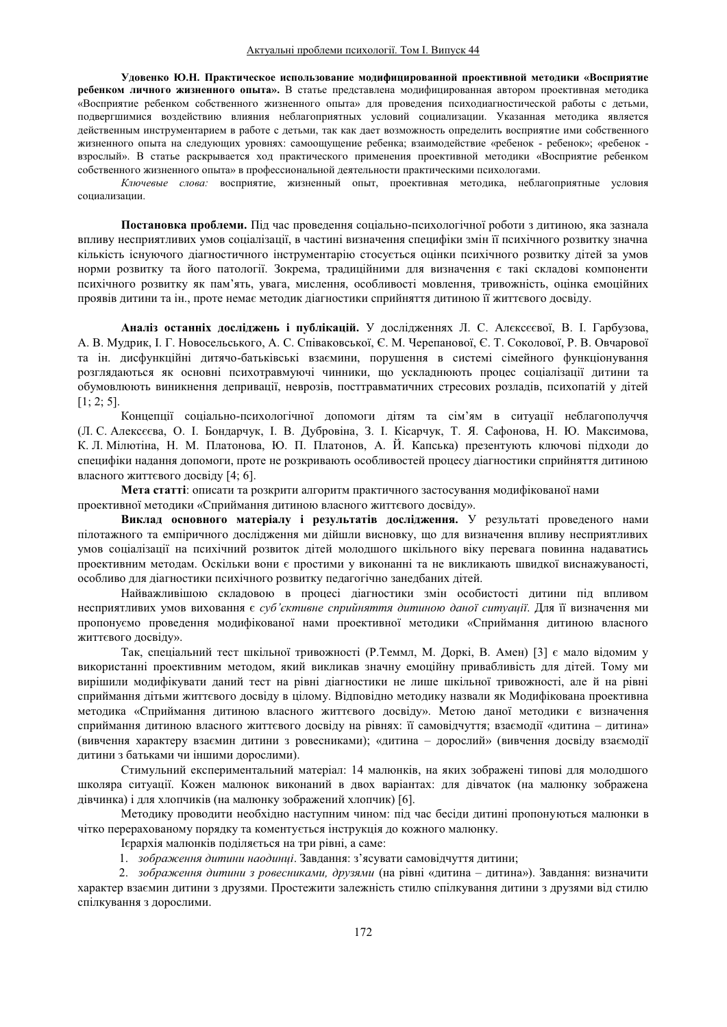Удовенко Ю.Н. Практическое использование модифицированной проективной методики «Восприятие ребенком личного жизненного опыта». В статье представлена модифицированная автором проективная методика «Восприятие ребенком собственного жизненного опыта» для проведения психодиагностической работы с детьми, подвергшимися воздействию влияния неблагоприятных условий социализации. Указанная методика является действенным инструментарием в работе с детьми, так как дает возможность определить восприятие ими собственного жизненного опыта на следующих уровнях: самоощущение ребенка; взаимодействие «ребенок - ребенок»; «ребенок взрослый». В статье раскрывается ход практического применения проективной методики «Восприятие ребенком собственного жизненного опыта» в профессиональной деятельности практическими психологами.

Ключевые слова: восприятие, жизненный опыт, проективная методика, неблагоприятные условия социализации.

Постановка проблеми. Під час проведення соціально-психологічної роботи з дитиною, яка зазнала впливу несприятливих умов соціалізації, в частині визначення специфіки змін її психічного розвитку значна кількість існуючого діагностичного інструментарію стосується оцінки психічного розвитку дітей за умов норми розвитку та його патології. Зокрема, традиційними для визначення є такі складові компоненти психічного розвитку як пам'ять, увага, мислення, особливості мовлення, тривожність, оцінка емоційних проявів дитини та ін., проте немає методик діагностики сприйняття дитиною її життєвого досвіду.

Аналіз останніх досліджень і публікацій. У дослідженнях Л. С. Алексеєвої, В. І. Гарбузова, А. В. Мудрик, І. Г. Новосельського, А. С. Співаковської, Є. М. Черепанової, Є. Т. Соколової, Р. В. Овчарової та ін. дисфункційні дитячо-батьківські взаємини, порушення в системі сімейного функціонування розглядаються як основні психотравмуючі чинники, що ускладнюють процес соціалізації дитини та обумовлюють виникнення депривації, неврозів, посттравматичних стресових розладів, психопатій у дітей  $[1; 2; 5]$ .

Концепції соціально-психологічної допомоги дітям та сім'ям в ситуації неблагополуччя (Л. С. Алексеєва, О. І. Бондарчук, І. В. Дубровіна, З. І. Кісарчук, Т. Я. Сафонова, Н. Ю. Максимова, К. Л. Мілютіна, Н. М. Платонова, Ю. П. Платонов, А. Й. Капська) презентують ключові підходи до специфіки надання допомоги, проте не розкривають особливостей процесу діагностики сприйняття дитиною власного життєвого досвіду [4; 6].

**Мета статті:** описати та розкрити алгоритм практичного застосування модифікованої нами проективної методики «Сприймання дитиною власного життєвого досвіду».

Виклад основного матеріалу і результатів дослідження. У результаті проведеного нами пілотажного та емпіричного дослідження ми дійшли висновку, що для визначення впливу несприятливих умов соціалізації на психічний розвиток дітей молодшого шкільного віку перевага повинна надаватись проективним методам. Оскільки вони є простими у виконанні та не викликають швидкої виснажуваності, особливо для діагностики психічного розвитку педагогічно занедбаних дітей.

Найважливішою складовою в процесі діагностики змін особистості дитини під впливом несприятливих умов виховання є суб'єктивне сприйняття дитиною даної ситуації. Для її визначення ми пропонуємо проведення модифікованої нами проективної методики «Сприймання дитиною власного життєвого досвіду».

Так, спеціальний тест шкільної тривожності (Р.Теммл, М. Доркі, В. Амен) [3] є мало відомим у використанні проективним методом, який викликав значну емоційну привабливість для дітей. Тому ми вирішили модифікувати даний тест на рівні діагностики не лише шкільної тривожності, але й на рівні сприймання дітьми життєвого досвіду в цілому. Відповідно методику назвали як Модифікована проективна методика «Сприймання дитиною власного життєвого досвіду». Метою даної методики є визначення сприймання дитиною власного життєвого досвіду на рівнях: її самовідчуття; взаємодії «дитина - дитина» (вивчення характеру взаємин дитини з ровесниками); «дитина – дорослий» (вивчення досвіду взаємодії дитини з батьками чи іншими дорослими).

Стимульний експериментальний матеріал: 14 малюнків, на яких зображені типові для молодшого школяра ситуації. Кожен малюнок виконаний в двох варіантах: для дівчаток (на малюнку зображена дівчинка) і для хлопчиків (на малюнку зображений хлопчик) [6].

Методику проводити необхідно наступним чином: під час бесіди дитині пропонуються малюнки в чітко перерахованому порядку та коментується інструкція до кожного малюнку.

Ієрархія малюнків поділяється на три рівні, а саме:

1. *зображення дитини наодинці*. Завдання: з'ясувати самовідчуття дитини;

2. *зображення дитини з ровесниками, друзями* (на рівні «дитина – дитина»). Завдання: визначити характер взаємин дитини з друзями. Простежити залежність стилю спілкування дитини з друзями від стилю спілкування з дорослими.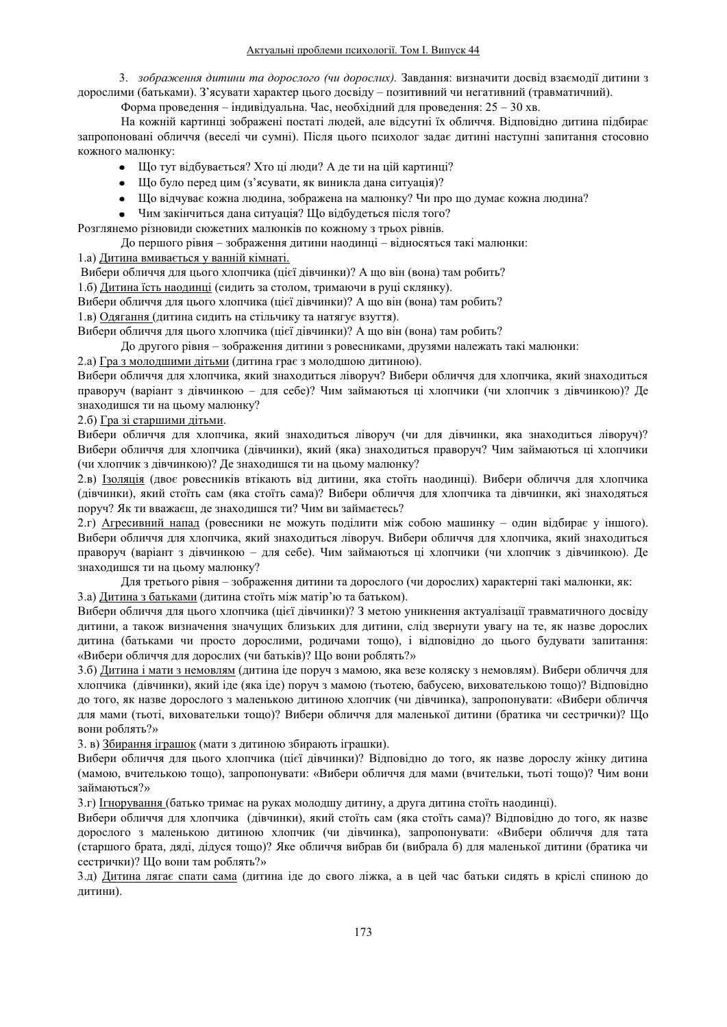3. *зображення дитини та дорослого (чи дорослих)*. Завдання: визначити досвід взаємодії дитини з дорослими (батьками). З'ясувати характер цього досвіду – позитивний чи негативний (травматичний).

Форма проведення – індивідуальна. Час, необхідний для проведення:  $25 - 30$  хв.

На кожній картинці зображені постаті людей, але відсутні їх обличчя. Відповідно дитина підбирає запропоновані обличчя (веселі чи сумні). Після цього психолог задає дитині наступні запитання стосовно кожного малюнку:

- Що тут відбувається? Хто ці люди? А де ти на цій картинці?
- Що було перед цим (з'ясувати, як виникла дана ситуація)?
- Шо відчуває кожна людина, зображена на малюнку? Чи про що думає кожна людина?
- Чим закінчиться дана ситуація? Що відбудеться після того?

Розглянемо різновиди сюжетних малюнків по кожному з трьох рівнів.

По першого рівня – зображення литини наолинці – вілносяться такі малюнки:

1.а) Дитина вмивається у ванній кімнаті.

Вибери обличчя для цього хлопчика (цієї дівчинки)? А що він (вона) там робить?

1.6) Дитина їсть наодинці (сидить за столом, тримаючи в руці склянку).

Вибери обличчя для цього хлопчика (цієї дівчинки)? А що він (вона) там робить?

1.в) Одягання (дитина сидить на стільчику та натягує взуття).

Вибери обличчя для цього хлопчика (цієї дівчинки)? А що він (вона) там робить?

До другого рівня – зображення дитини з ровесниками, друзями належать такі малюнки:

2.а) Гра з молодшими дітьми (дитина грає з молодшою дитиною).

Вибери обличчя для хлопчика, який знаходиться ліворуч? Вибери обличчя для хлопчика, який знаходиться праворуч (варіант з дівчинкою - для себе)? Чим займаються ці хлопчики (чи хлопчик з дівчинкою)? Де знаходишся ти на цьому малюнку?

## 2.6) Гра зі старшими дітьми.

Вибери обличчя для хлопчика, який знаходиться ліворуч (чи для дівчинки, яка знаходиться ліворуч)? Вибери обличчя для хлопчика (дівчинки), який (яка) знаходиться праворуч? Чим займаються ці хлопчики (чи хлопчик з дівчинкою)? Де знаходишся ти на цьому малюнку?

2.в) Ізоляція (двоє ровесників втікають від дитини, яка стоїть наодинці). Вибери обличчя для хлопчика (дівчинки), який стоїть сам (яка стоїть сама)? Вибери обличчя для хлопчика та дівчинки, які знаходяться поруч? Як ти вважаєш, де знаходишся ти? Чим ви займаєтесь?

2. г) Агресивний напад (ровесники не можуть поділити між собою машинку – один відбирає у іншого). Вибери обличчя для хлопчика, який знаходиться ліворуч. Вибери обличчя для хлопчика, який знаходиться праворуч (варіант з дівчинкою - для себе). Чим займаються ці хлопчики (чи хлопчик з дівчинкою). Де знаходишся ти на цьому малюнку?

Для третього рівня – зображення дитини та дорослого (чи дорослих) характерні такі малюнки, як: 3.а) Дитина з батьками (дитина стоїть між матір'ю та батьком).

Вибери обличчя для цього хлопчика (цієї дівчинки)? З метою уникнення актуалізації травматичного досвіду дитини, а також визначення значущих близьких для дитини, слід звернути увагу на те, як назве дорослих дитина (батьками чи просто дорослими, родичами тощо), і відповідно до цього будувати запитання: «Вибери обличчя для дорослих (чи батьків)? Що вони роблять?»

3.6) Дитина і мати з немовлям (дитина іде поруч з мамою, яка везе коляску з немовлям). Вибери обличчя для хлопчика (дівчинки), який іде (яка іде) поруч з мамою (тьотею, бабусею, вихователькою тощо)? Відповідно до того, як назве дорослого з маленькою дитиною хлопчик (чи дівчинка), запропонувати: «Вибери обличчя для мами (тьоті, виховательки тощо)? Вибери обличчя для маленької дитини (братика чи сестрички)? Що вони роблять?»

3. в) Збирання іграшок (мати з дитиною збирають іграшки).

Вибери обличчя для цього хлопчика (цієї дівчинки)? Відповідно до того, як назве дорослу жінку дитина (мамою, вчителькою тощо), запропонувати: «Вибери обличчя для мами (вчительки, тьоті тощо)? Чим вони займаються?»

3.г) <u>Ігнорування (</u>батько тримає на руках молодшу дитину, а друга дитина стоїть наодинці).

Вибери обличчя для хлопчика (дівчинки), який стоїть сам (яка стоїть сама)? Відповідно до того, як назве дорослого з маленькою дитиною хлопчик (чи дівчинка), запропонувати: «Вибери обличчя для тата (старшого брата, дяді, дідуся тощо)? Яке обличчя вибрав би (вибрала б) для маленької дитини (братика чи сестрички)? Що вони там роблять?»

3.д) Дитина лягає спати сама (дитина іде до свого ліжка, а в цей час батьки сидять в кріслі спиною до дитини).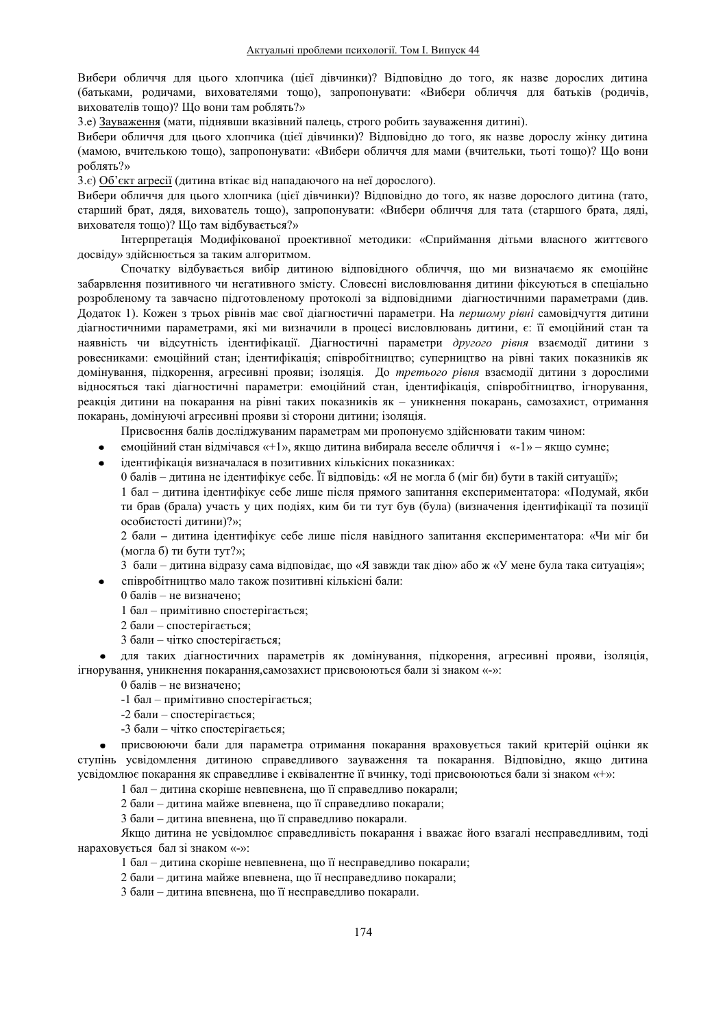Вибери обличчя для цього хлопчика (цієї дівчинки)? Відповідно до того, як назве дорослих дитина (батьками, родичами, вихователями тошо), запропонувати: «Вибери обличчя для батьків (родичів, вихователів тощо)? Що вони там роблять?»

3.е) Зауваження (мати, піднявши вказівний палець, строго робить зауваження дитині).

Вибери обличчя для цього хлопчика (цієї дівчинки)? Відповідно до того, як назве дорослу жінку дитина (мамою, вчителькою тощо), запропонувати: «Вибери обличчя для мами (вчительки, тьоті тощо)? Що вони роблять?»

3. $\epsilon$ ) Об'єкт агресії (дитина втікає від нападаючого на неї дорослого).

Вибери обличчя для цього хлопчика (цієї дівчинки)? Відповідно до того, як назве дорослого дитина (тато, старший брат, дядя, вихователь тощо), запропонувати: «Вибери обличчя для тата (старшого брата, дяді, вихователя тошо)? Шо там вілбувається?»

Iнтерпретація Модифікованої проективної методики: «Сприймання дітьми власного життєвого досвіду» здійснюється за таким алгоритмом.

Спочатку відбувається вибір дитиною відповідного обличчя, що ми визначаємо як емоційне забарвлення позитивного чи негативного змісту. Словесні висловлювання дитини фіксуються в спеціально розробленому та завчасно підготовленому протоколі за відповідними діагностичними параметрами (див. Додаток 1). Кожен з трьох рівнів має свої діагностичні параметри. На *першому рівні* самовідчуття дитини діагностичними параметрами, які ми визначили в процесі висловлювань дитини, є: її емоційний стан та наявність чи відсутність ідентифікації. Діагностичні параметри другого рівня взаємодії дитини з ровесниками: емоційний стан; ідентифікація; співробітництво; суперництво на рівні таких показників як домінування, підкорення, агресивні прояви; ізоляція. До третього рівня взаємодії дитини з дорослими вілносяться такі ліагностичні параметри: емоційний стан, ілентифікація, співробітництво, ігнорування, реакція дитини на покарання на рівні таких показників як – уникнення покарань, самозахист, отримання покарань, домінуючі агресивні прояви зі сторони дитини; ізоляція.

Присвоєння балів досліджуваним параметрам ми пропонуємо здійснювати таким чином:

емоційний стан відмічався «+1», якщо дитина вибирала веселе обличчя і «-1» - якщо сумне;

ілентифікація визначалася в позитивних кількісних показниках:

0 балів – дитина не ідентифікує себе. Її відповідь: «Я не могла б (міг би) бути в такій ситуації»;

1 бал – дитина ідентифікує себе лише після прямого запитання експериментатора: «Подумай, якби ти брав (брала) участь у цих подіях, ким би ти тут був (була) (визначення ідентифікації та позиції особистості дитини)?»;

2 бали – дитина ідентифікує себе лише після навідного запитання експериментатора: «Чи міг би (могла б) ти бути тут?»;

3 бали – дитина відразу сама відповідає, що «Я завжди так дію» або ж «У мене була така ситуація»;

співробітництво мало також позитивні кількісні бали:

 $0$  балів – не визначено:

1 бал - примітивно спостерігається;

- 2 бали спостерігається;
- 3 бали чітко спостерігається;

для таких діагностичних параметрів як домінування, підкорення, агресивні прояви, ізоляція, ігнорування, уникнення покарання, самозахист присвоюються бали зі знаком «-»:

0 балів – не визначено:

- -1 бал примітивно спостерігається;
- -2 бали спостерігається;
- $-3$  бали чітко спостерігається;

присвоюючи бали для параметра отримання покарання враховується такий критерій оцінки як ступінь усвідомлення дитиною справедливого зауваження та покарання. Відповідно, якщо дитина усвідомлює покарання як справедливе і еквівалентне її вчинку, тоді присвоюються бали зі знаком «+»:

1 бал – дитина скоріше невпевнена, що її справедливо покарали;

2 бали – дитина майже впевнена, що її справедливо покарали;

3 бали - дитина впевнена, що її справедливо покарали.

Якщо дитина не усвідомлює справедливість покарання і вважає його взагалі несправедливим, тоді нараховується бал зі знаком «-»:

1 бал – дитина скоріше невпевнена, що її несправедливо покарали;

2 бали - дитина майже впевнена, що її несправедливо покарали;

3 бали - дитина впевнена, що її несправедливо покарали.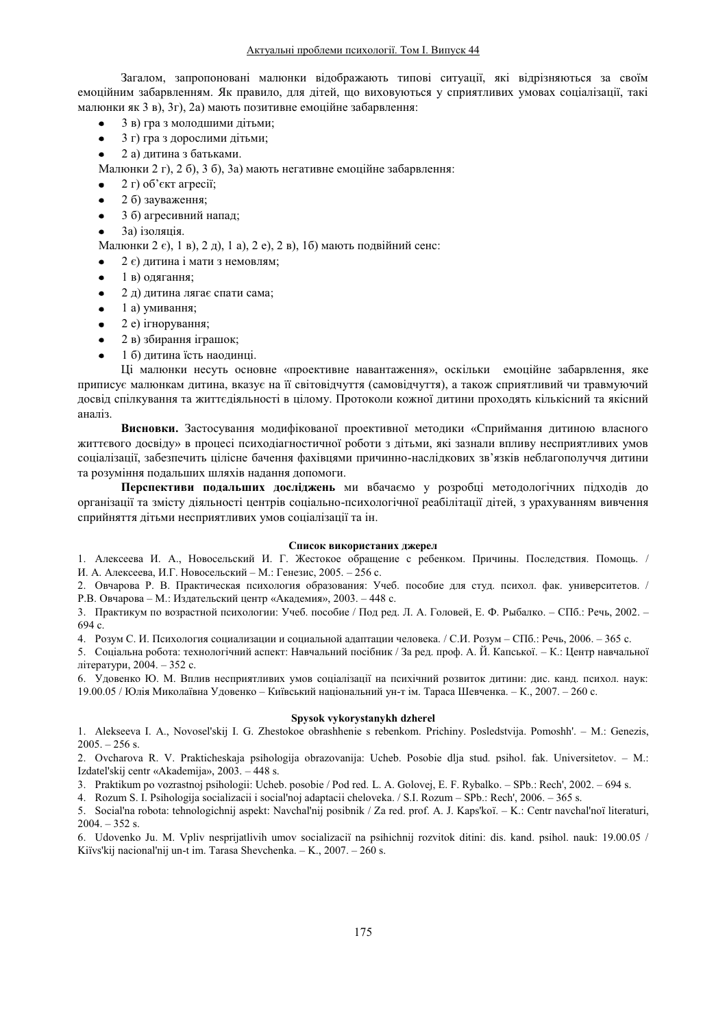Загалом, запропоновані малюнки відображають типові ситуації, які відрізняються за своїм емоційним забарвленням. Як правило, для літей, що виховуються у сприятливих умовах соціалізації, такі малюнки як 3 в),  $3r$ ),  $2a$ ) мають позитивне емоційне забарвлення:

- 3 в) гра з молодшими дітьми;
- 3 г) гра з дорослими дітьми;
- 2 а) дитина з батьками.

Малюнки 2 г), 2 б), 3 б), 3а) мають негативне емоційне забарвлення:

- $2 \tau$ ) об'єкт агресії;
- 2 б) зауваження;
- 3 б) агресивний напад;
- 3a) ізоляція.

Малюнки 2  $\varepsilon$ ), 1 в), 2 д), 1 а), 2 е), 2 в), 1б) мають подвійний сенс:

- 2  $\epsilon$ ) дитина і мати з немовлям;
- 1 в) одягання;
- 2 д) дитина лягає спати сама;
- $1$ а) умивання;
- 2 e) iгнорування;
- 2 в) збирання іграшок;
- 1 б) дитина їсть наодинці.

Ці малюнки несуть основне «проективне навантаження», оскільки емоційне забарвлення, яке приписує малюнкам дитина, вказує на її світовідчуття (самовідчуття), а також сприятливий чи травмуючий досвід спілкування та життєдіяльності в цілому. Протоколи кожної дитини проходять кількісний та якісний аналіз.

Висновки. Застосування модифікованої проективної методики «Сприймання дитиною власного життєвого досвіду» в процесі психодіагностичної роботи з дітьми, які зазнали впливу несприятливих умов соціалізації, забезпечить цілісне бачення фахівцями причинно-наслідкових зв'язків неблагополуччя дитини та розуміння подальших шляхів надання допомоги.

Перспективи подальших досліджень ми вбачаємо у розробці методологічних підходів до організації та змісту діяльності центрів соціально-психологічної реабілітації дітей, з урахуванням вивчення сприйняття дітьми несприятливих умов соціалізації та ін.

#### Список використаних джерел

1. Алексеева И. А., Новосельский И. Г. Жестокое обращение с ребенком. Причины. Последствия. Помощь. / И. А. Алексеева, И.Г. Новосельский – М.: Генезис, 2005. – 256 с.

2. Овчарова Р. В. Практическая психология образования: Учеб. пособие для студ. психол. фак. университетов. / Р.В. Овчарова – М.: Издательский центр «Академия», 2003. – 448 с.

3. Практикум по возрастной психологии: Учеб. пособие / Под ред. Л. А. Головей, Е. Ф. Рыбалко. – СПб.: Речь, 2002. – 694 c.

4. Розум С. И. Психология социализации и социальной адаптации человека. / С.И. Розум - СПб.: Речь, 2006. - 365 с.

5. Соціальна робота: технологічний аспект: Навчальний посібник / За ред. проф. А. Й. Капської. - К.: Центр навчальної літератури, 2004. – 352 с.

6. Удовенко Ю. М. Вплив несприятливих умов соціалізації на психічний розвиток дитини: дис. канд. психол. наук: 19.00.05 / Юлія Миколаївна Уловенко – Київський національний ун-т ім. Тараса Шевченка. – К., 2007. – 260 с.

#### **Spysok vykorystanykh dzherel**

1. Alekseeva I. A., Novosel'skij I. G. Zhestokoe obrashhenie s rebenkom. Prichiny. Posledstvija. Pomoshh'. - M.: Genezis,  $2005. - 256$  s.

2. Ovcharova R. V. Prakticheskaja psihologija obrazovanija: Ucheb. Posobie dlja stud. psihol. fak. Universitetov. – M.: Izdateľskij centr «Akademija», 2003. – 448 s.

3. Praktikum po vozrastnoj psihologii: Ucheb. posobie / Pod red. L. A. Golovej, E. F. Rybalko. – SPb.: Rech', 2002. – 694 s.

4. Rozum S. I. Psihologija socializacii i social'noj adaptacii cheloveka. / S.I. Rozum – SPb.: Rech', 2006. – 365 s.

5. Social'na robota: tehnologichnij aspekt: Navchal'nij posibnik / Za red. prof. A. J. Kaps'koï. – K.: Centr navchal'noï literaturi,  $2004. - 352$  s.

6. Udovenko Ju. M. Vpliv nesprijatlivih umov socializaciï na psihichnij rozvitok ditini: dis. kand. psihol. nauk: 19.00.05 / Kiïvs'kij nacional'nij un-t im. Tarasa Shevchenka.  $-$  K., 2007.  $-$  260 s.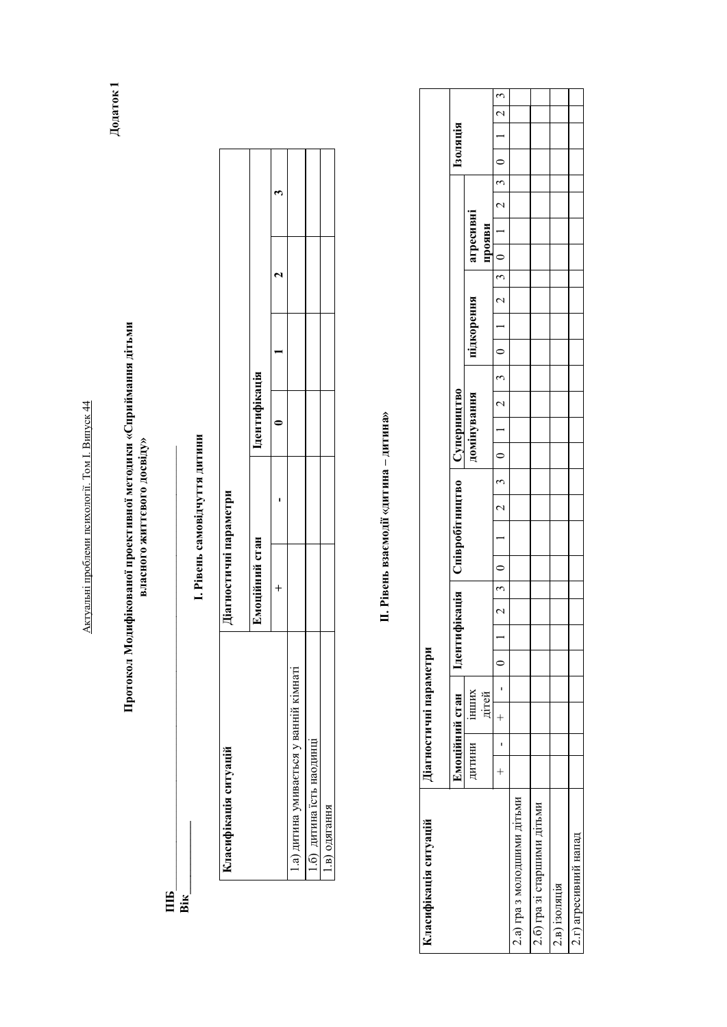Актуальні проблеми психології. Том І. Випуск 44 Актуальні проблеми психології. Том І. Випуск 44

Протокол Модифікованої проективної методики «Сприймання дітьми<br>власного життєвого досвіду» Протокол Модифікованої проективної методики «Сприймання дітьми власного життєвого досвіду»

 $\Xi_{\mathbf{g}}$ *\_\_\_\_\_\_\_\_\_\_\_\_\_\_\_\_\_\_\_\_\_\_\_\_\_\_\_\_\_\_\_\_\_\_\_\_\_\_\_\_\_\_\_\_\_\_\_\_\_\_\_\_\_\_\_\_\_\_\_\_\_\_\_\_\_\_\_\_\_\_\_\_\_*  **Bik** 

1. Рівень самовідчуття дитини I. Рівень самовідчуття дитини

| Класифікація ситуацій                   | јагностичні параметри |                |  |  |
|-----------------------------------------|-----------------------|----------------|--|--|
|                                         | Імоційний стан        | I дентифікація |  |  |
|                                         |                       |                |  |  |
| 1.а) дитина умивається у ванній кімнаті |                       |                |  |  |
| 1.6) дитина їсть наодинці               |                       |                |  |  |
| 1.в) одягання                           |                       |                |  |  |

П. Рівень взаємодії «дитина - дитина» **II**. Рівень взаємодії «дитина – дитина»

| Класифікація ситуацій       |        | Діагностичні параметри |  |               |         |                                                |        |               |                                                                     |               |            |  |                         |           |                  |                          |          |                                  |
|-----------------------------|--------|------------------------|--|---------------|---------|------------------------------------------------|--------|---------------|---------------------------------------------------------------------|---------------|------------|--|-------------------------|-----------|------------------|--------------------------|----------|----------------------------------|
|                             |        | Емоційний стан         |  |               |         | Дентифікація    Співробітництво    Суперництво |        |               |                                                                     |               |            |  |                         |           |                  |                          | Гзоляція |                                  |
|                             | ДИТИНИ | <b>IHIIIIIX</b>        |  |               |         |                                                |        |               | домінування                                                         |               | підкорення |  |                         | агресивні |                  |                          |          |                                  |
|                             |        | дітей                  |  |               |         |                                                |        |               |                                                                     |               |            |  |                         | прояви    |                  |                          |          |                                  |
|                             |        |                        |  | $\frac{1}{2}$ | $\circ$ |                                                | $\sim$ | $\frac{1}{3}$ | $\begin{array}{c c c c c c} \hline 0 & 1 & 2 \\ \hline \end{array}$ | $\frac{1}{3}$ |            |  | $0$   1   2   3   0   1 |           | $\overline{2}$ 3 | $\overline{\phantom{0}}$ |          | $\mathfrak{c}$<br>$\overline{C}$ |
| 2.а) гра з молодшими дітьми |        |                        |  |               |         |                                                |        |               |                                                                     |               |            |  |                         |           |                  |                          |          |                                  |
| 2.6) гра зі старшими дітьми |        |                        |  |               |         |                                                |        |               |                                                                     |               |            |  |                         |           |                  |                          |          |                                  |
| 2.в) ізоляція               |        |                        |  |               |         |                                                |        |               |                                                                     |               |            |  |                         |           |                  |                          |          |                                  |
| 2.г) агресивний напад       |        |                        |  |               |         |                                                |        |               |                                                                     |               |            |  |                         |           |                  |                          |          |                                  |

Додаток 1  $\rm\,I$ одаток 1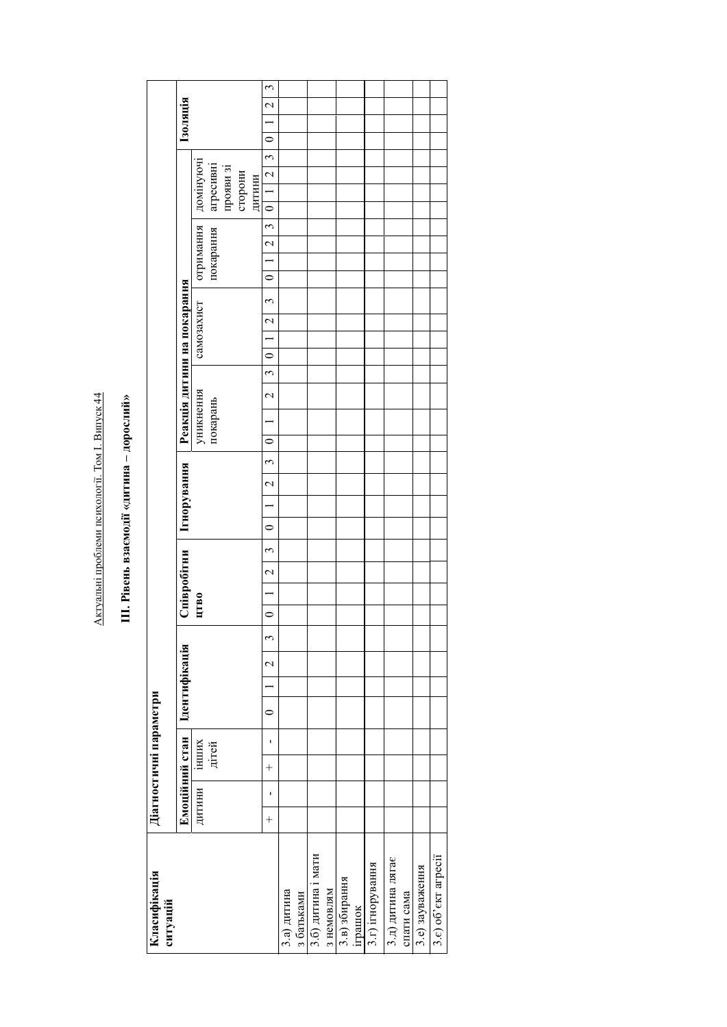Актуальні проблеми психології. Том І. Випуск 44 Актуальні проблеми психології. Том І. Випуск 44

III. Рівень взаємодії «дитина - дорослий» **III. Рівень взаємодії «дитина – дорослий»** 

| Класифікація<br>ситуацій |             | Діагностичні параметри |         |               |        |   |         |                                                    |         |             |                          |             |         |           |                             |                    |                |                |            |                          |                                            |               |                      |                   |                        |               |                |                 |                                  |
|--------------------------|-------------|------------------------|---------|---------------|--------|---|---------|----------------------------------------------------|---------|-------------|--------------------------|-------------|---------|-----------|-----------------------------|--------------------|----------------|----------------|------------|--------------------------|--------------------------------------------|---------------|----------------------|-------------------|------------------------|---------------|----------------|-----------------|----------------------------------|
|                          |             | Емоційний стан         |         | Ідентифікація |        |   |         | Співробітни                                        |         | Ігнорування |                          |             |         |           | Реакція дитини на покарання |                    |                |                |            |                          |                                            |               |                      |                   |                        |               |                | <b>Гарляція</b> |                                  |
|                          | дитини      | інших                  |         |               |        |   | ЦТВО    |                                                    |         |             |                          |             |         | уникнення |                             |                    |                | самозахист     |            |                          | отримання                                  |               |                      |                   | домінуючі              |               |                |                 |                                  |
|                          |             | дітей                  |         |               |        |   |         |                                                    |         |             |                          |             |         | покарань  |                             |                    |                |                |            |                          | покарання                                  |               |                      |                   | агресивні<br>прояви зі |               |                |                 |                                  |
|                          |             |                        |         |               |        |   |         |                                                    |         |             |                          |             |         |           |                             |                    |                |                |            |                          |                                            |               |                      | сторони<br>дитини |                        |               |                |                 |                                  |
|                          | ı<br>$^{+}$ | ı<br>$^{+}$            | $\circ$ |               | $\sim$ | 3 | $\circ$ | $\tilde{\mathfrak{c}}$<br>$\overline{\mathcal{L}}$ | $\circ$ |             | $\overline{\mathcal{C}}$ | $\tilde{c}$ | $\circ$ |           | $\overline{a}$              | $\tilde{\epsilon}$ | $\overline{0}$ | $\overline{2}$ | $\epsilon$ | $\overline{\phantom{0}}$ | $\overline{\mathcal{L}}$<br>$\overline{a}$ | $\frac{3}{2}$ | $\overline{\bullet}$ |                   | $1\overline{2}$        | $\frac{1}{3}$ | $\overline{0}$ |                 | $\tilde{\mathfrak{c}}$<br>$\sim$ |
| 3.а) дитина              |             |                        |         |               |        |   |         |                                                    |         |             |                          |             |         |           |                             |                    |                |                |            |                          |                                            |               |                      |                   |                        |               |                |                 |                                  |
| з батьками               |             |                        |         |               |        |   |         |                                                    |         |             |                          |             |         |           |                             |                    |                |                |            |                          |                                            |               |                      |                   |                        |               |                |                 |                                  |
| 3.6) дитина і мати       |             |                        |         |               |        |   |         |                                                    |         |             |                          |             |         |           |                             |                    |                |                |            |                          |                                            |               |                      |                   |                        |               |                |                 |                                  |
| з немовлям               |             |                        |         |               |        |   |         |                                                    |         |             |                          |             |         |           |                             |                    |                |                |            |                          |                                            |               |                      |                   |                        |               |                |                 |                                  |
| 3.в) збирання            |             |                        |         |               |        |   |         |                                                    |         |             |                          |             |         |           |                             |                    |                |                |            |                          |                                            |               |                      |                   |                        |               |                |                 |                                  |
| іграшок                  |             |                        |         |               |        |   |         |                                                    |         |             |                          |             |         |           |                             |                    |                |                |            |                          |                                            |               |                      |                   |                        |               |                |                 |                                  |
| 3.г) ігнорування         |             |                        |         |               |        |   |         |                                                    |         |             |                          |             |         |           |                             |                    |                |                |            |                          |                                            |               |                      |                   |                        |               |                |                 |                                  |
| 3.д) дитина лягає        |             |                        |         |               |        |   |         |                                                    |         |             |                          |             |         |           |                             |                    |                |                |            |                          |                                            |               |                      |                   |                        |               |                |                 |                                  |
| спати сама               |             |                        |         |               |        |   |         |                                                    |         |             |                          |             |         |           |                             |                    |                |                |            |                          |                                            |               |                      |                   |                        |               |                |                 |                                  |
| 3.е) зауваження          |             |                        |         |               |        |   |         |                                                    |         |             |                          |             |         |           |                             |                    |                |                |            |                          |                                            |               |                      |                   |                        |               |                |                 |                                  |
| 3.e) oб'єкт агресії      |             |                        |         |               |        |   |         |                                                    |         |             |                          |             |         |           |                             |                    |                |                |            |                          |                                            |               |                      |                   |                        |               |                |                 |                                  |
|                          |             |                        |         |               |        |   |         |                                                    |         |             |                          |             |         |           |                             |                    |                |                |            |                          |                                            |               |                      |                   |                        |               |                |                 |                                  |